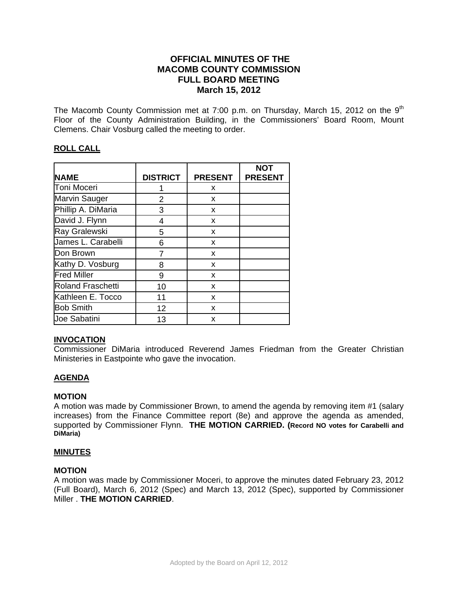# **OFFICIAL MINUTES OF THE MACOMB COUNTY COMMISSION FULL BOARD MEETING March 15, 2012**

The Macomb County Commission met at 7:00 p.m. on Thursday, March 15, 2012 on the  $9<sup>th</sup>$ Floor of the County Administration Building, in the Commissioners' Board Room, Mount Clemens. Chair Vosburg called the meeting to order.

# **ROLL CALL**

| <b>NAME</b>              | <b>DISTRICT</b> | <b>PRESENT</b> | <b>NOT</b><br><b>PRESENT</b> |
|--------------------------|-----------------|----------------|------------------------------|
| Toni Moceri              |                 | x              |                              |
| Marvin Sauger            | 2               | X              |                              |
| Phillip A. DiMaria       | 3               | X              |                              |
| David J. Flynn           | 4               | X              |                              |
| Ray Gralewski            | 5               | X              |                              |
| James L. Carabelli       | 6               | X              |                              |
| Don Brown                |                 | X              |                              |
| Kathy D. Vosburg         | 8               | X              |                              |
| <b>Fred Miller</b>       | 9               | X              |                              |
| <b>Roland Fraschetti</b> | 10              | X              |                              |
| Kathleen E. Tocco        | 11              | X              |                              |
| <b>Bob Smith</b>         | 12              | X              |                              |
| <b>Joe Sabatini</b>      | 13              | x              |                              |

## **INVOCATION**

Commissioner DiMaria introduced Reverend James Friedman from the Greater Christian Ministeries in Eastpointe who gave the invocation.

## **AGENDA**

### **MOTION**

A motion was made by Commissioner Brown, to amend the agenda by removing item #1 (salary increases) from the Finance Committee report (8e) and approve the agenda as amended, supported by Commissioner Flynn. **THE MOTION CARRIED. (Record NO votes for Carabelli and DiMaria)**

### **MINUTES**

### **MOTION**

A motion was made by Commissioner Moceri, to approve the minutes dated February 23, 2012 (Full Board), March 6, 2012 (Spec) and March 13, 2012 (Spec), supported by Commissioner Miller . **THE MOTION CARRIED**.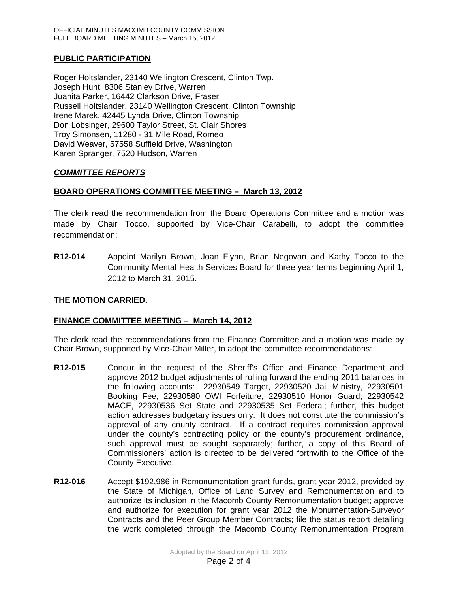# **PUBLIC PARTICIPATION**

Roger Holtslander, 23140 Wellington Crescent, Clinton Twp. Joseph Hunt, 8306 Stanley Drive, Warren Juanita Parker, 16442 Clarkson Drive, Fraser Russell Holtslander, 23140 Wellington Crescent, Clinton Township Irene Marek, 42445 Lynda Drive, Clinton Township Don Lobsinger, 29600 Taylor Street, St. Clair Shores Troy Simonsen, 11280 - 31 Mile Road, Romeo David Weaver, 57558 Suffield Drive, Washington Karen Spranger, 7520 Hudson, Warren

# *COMMITTEE REPORTS*

# **BOARD OPERATIONS COMMITTEE MEETING – March 13, 2012**

The clerk read the recommendation from the Board Operations Committee and a motion was made by Chair Tocco, supported by Vice-Chair Carabelli, to adopt the committee recommendation:

**R12-014** Appoint Marilyn Brown, Joan Flynn, Brian Negovan and Kathy Tocco to the Community Mental Health Services Board for three year terms beginning April 1, 2012 to March 31, 2015.

### **THE MOTION CARRIED.**

## **FINANCE COMMITTEE MEETING – March 14, 2012**

The clerk read the recommendations from the Finance Committee and a motion was made by Chair Brown, supported by Vice-Chair Miller, to adopt the committee recommendations:

- **R12-015** Concur in the request of the Sheriff's Office and Finance Department and approve 2012 budget adjustments of rolling forward the ending 2011 balances in the following accounts: 22930549 Target, 22930520 Jail Ministry, 22930501 Booking Fee, 22930580 OWI Forfeiture, 22930510 Honor Guard, 22930542 MACE, 22930536 Set State and 22930535 Set Federal; further, this budget action addresses budgetary issues only. It does not constitute the commission's approval of any county contract. If a contract requires commission approval under the county's contracting policy or the county's procurement ordinance, such approval must be sought separately; further, a copy of this Board of Commissioners' action is directed to be delivered forthwith to the Office of the County Executive.
- **R12-016** Accept \$192,986 in Remonumentation grant funds, grant year 2012, provided by the State of Michigan, Office of Land Survey and Remonumentation and to authorize its inclusion in the Macomb County Remonumentation budget; approve and authorize for execution for grant year 2012 the Monumentation-Surveyor Contracts and the Peer Group Member Contracts; file the status report detailing the work completed through the Macomb County Remonumentation Program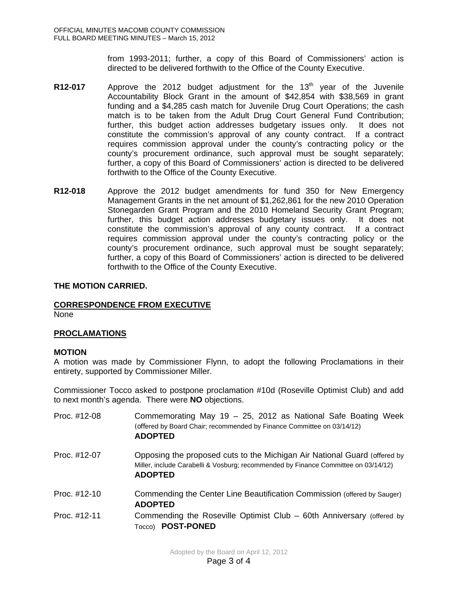from 1993-2011; further, a copy of this Board of Commissioners' action is directed to be delivered forthwith to the Office of the County Executive.

- **R12-017** Approve the 2012 budget adjustment for the 13<sup>th</sup> year of the Juvenile Accountability Block Grant in the amount of \$42,854 with \$38,569 in grant funding and a \$4,285 cash match for Juvenile Drug Court Operations; the cash match is to be taken from the Adult Drug Court General Fund Contribution; further, this budget action addresses budgetary issues only. It does not constitute the commission's approval of any county contract. If a contract requires commission approval under the county's contracting policy or the county's procurement ordinance, such approval must be sought separately; further, a copy of this Board of Commissioners' action is directed to be delivered forthwith to the Office of the County Executive.
- **R12-018** Approve the 2012 budget amendments for fund 350 for New Emergency Management Grants in the net amount of \$1,262,861 for the new 2010 Operation Stonegarden Grant Program and the 2010 Homeland Security Grant Program; further, this budget action addresses budgetary issues only. It does not constitute the commission's approval of any county contract. If a contract requires commission approval under the county's contracting policy or the county's procurement ordinance, such approval must be sought separately; further, a copy of this Board of Commissioners' action is directed to be delivered forthwith to the Office of the County Executive.

### **THE MOTION CARRIED.**

## **CORRESPONDENCE FROM EXECUTIVE**

None

## **PROCLAMATIONS**

### **MOTION**

A motion was made by Commissioner Flynn, to adopt the following Proclamations in their entirety, supported by Commissioner Miller.

Commissioner Tocco asked to postpone proclamation #10d (Roseville Optimist Club) and add to next month's agenda. There were **NO** objections.

| Proc. #12-08 | Commemorating May 19 - 25, 2012 as National Safe Boating Week<br>(offered by Board Chair; recommended by Finance Committee on 03/14/12)<br><b>ADOPTED</b>                         |
|--------------|-----------------------------------------------------------------------------------------------------------------------------------------------------------------------------------|
| Proc. #12-07 | Opposing the proposed cuts to the Michigan Air National Guard (offered by<br>Miller, include Carabelli & Vosburg; recommended by Finance Committee on 03/14/12)<br><b>ADOPTED</b> |
| Proc. #12-10 | Commending the Center Line Beautification Commission (offered by Sauger)<br><b>ADOPTED</b>                                                                                        |
| Proc. #12-11 | Commending the Roseville Optimist Club – 60th Anniversary (offered by<br>Tocco) <b>POST-PONED</b>                                                                                 |